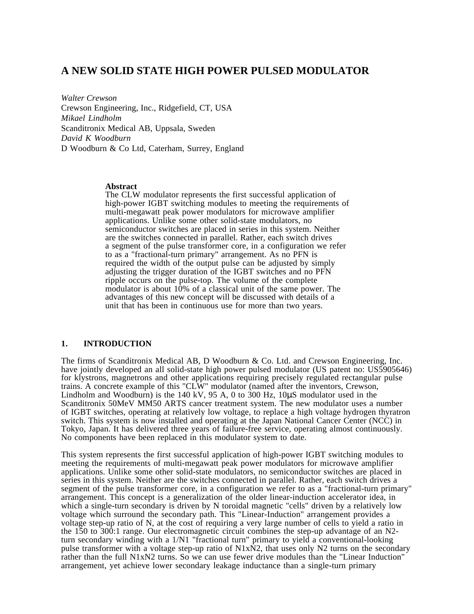# **A NEW SOLID STATE HIGH POWER PULSED MODULATOR**

*Walter Crewson* Crewson Engineering, Inc., Ridgefield, CT, USA *Mikael Lindholm* Scanditronix Medical AB, Uppsala, Sweden *David K Woodburn* D Woodburn & Co Ltd, Caterham, Surrey, England

#### **Abstract**

The CLW modulator represents the first successful application of high-power IGBT switching modules to meeting the requirements of multi-megawatt peak power modulators for microwave amplifier applications. Unlike some other solid-state modulators, no semiconductor switches are placed in series in this system. Neither are the switches connected in parallel. Rather, each switch drives a segment of the pulse transformer core, in a configuration we refer to as a "fractional-turn primary" arrangement. As no PFN is required the width of the output pulse can be adjusted by simply adjusting the trigger duration of the IGBT switches and no PFN ripple occurs on the pulse-top. The volume of the complete modulator is about 10% of a classical unit of the same power. The advantages of this new concept will be discussed with details of a unit that has been in continuous use for more than two years.

# **1. INTRODUCTION**

The firms of Scanditronix Medical AB, D Woodburn & Co. Ltd. and Crewson Engineering, Inc. have jointly developed an all solid-state high power pulsed modulator (US patent no: US5905646) for klystrons, magnetrons and other applications requiring precisely regulated rectangular pulse trains. A concrete example of this "CLW" modulator (named after the inventors, Crewson, Lindholm and Woodburn) is the 140 kV, 95 A, 0 to 300 Hz, 10µS modulator used in the Scanditronix 50MeV MM50 ARTS cancer treatment system. The new modulator uses a number of IGBT switches, operating at relatively low voltage, to replace a high voltage hydrogen thyratron switch. This system is now installed and operating at the Japan National Cancer Center (NCC) in Tokyo, Japan. It has delivered three years of failure-free service, operating almost continuously. No components have been replaced in this modulator system to date.

This system represents the first successful application of high-power IGBT switching modules to meeting the requirements of multi-megawatt peak power modulators for microwave amplifier applications. Unlike some other solid-state modulators, no semiconductor switches are placed in series in this system. Neither are the switches connected in parallel. Rather, each switch drives a segment of the pulse transformer core, in a configuration we refer to as a "fractional-turn primary" arrangement. This concept is a generalization of the older linear-induction accelerator idea, in which a single-turn secondary is driven by N toroidal magnetic "cells" driven by a relatively low voltage which surround the secondary path. This "Linear-Induction" arrangement provides a voltage step-up ratio of N, at the cost of requiring a very large number of cells to yield a ratio in the 150 to 300:1 range. Our electromagnetic circuit combines the step-up advantage of an N2 turn secondary winding with a 1/N1 "fractional turn" primary to yield a conventional-looking pulse transformer with a voltage step-up ratio of N1xN2, that uses only N2 turns on the secondary rather than the full N1xN2 turns. So we can use fewer drive modules than the "Linear Induction" arrangement, yet achieve lower secondary leakage inductance than a single-turn primary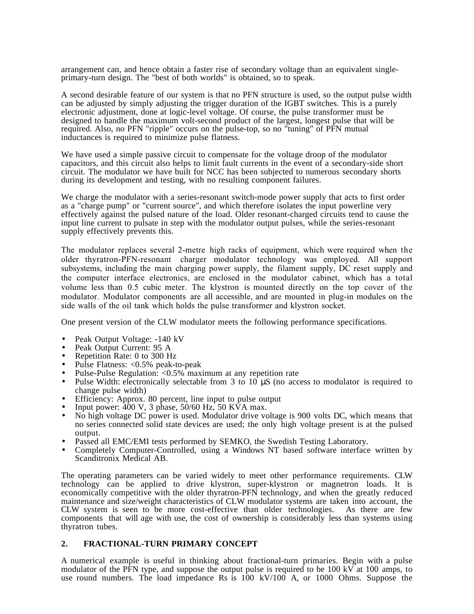arrangement can, and hence obtain a faster rise of secondary voltage than an equivalent singleprimary-turn design. The "best of both worlds" is obtained, so to speak.

A second desirable feature of our system is that no PFN structure is used, so the output pulse width can be adjusted by simply adjusting the trigger duration of the IGBT switches. This is a purely electronic adjustment, done at logic-level voltage. Of course, the pulse transformer must be designed to handle the maximum volt-second product of the largest, longest pulse that will be required. Also, no PFN "ripple" occurs on the pulse-top, so no "tuning" of PFN mutual inductances is required to minimize pulse flatness.

We have used a simple passive circuit to compensate for the voltage droop of the modulator capacitors, and this circuit also helps to limit fault currents in the event of a secondary-side short circuit. The modulator we have built for NCC has been subjected to numerous secondary shorts during its development and testing, with no resulting component failures.

We charge the modulator with a series-resonant switch-mode power supply that acts to first order as a "charge pump" or "current source", and which therefore isolates the input powerline very effectively against the pulsed nature of the load. Older resonant-charged circuits tend to cause the input line current to pulsate in step with the modulator output pulses, while the series-resonant supply effectively prevents this.

The modulator replaces several 2-metre high racks of equipment, which were required when the older thyratron-PFN-resonant charger modulator technology was employed. All support subsystems, including the main charging power supply, the filament supply, DC reset supply and the computer interface electronics, are enclosed in the modulator cabinet, which has a total volume less than 0.5 cubic meter. The klystron is mounted directly on the top cover of the modulator. Modulator components are all accessible, and are mounted in plug-in modules on the side walls of the oil tank which holds the pulse transformer and klystron socket.

One present version of the CLW modulator meets the following performance specifications.

- Peak Output Voltage: -140 kV
- Peak Output Current: 95 A
- Repetition Rate: 0 to 300 Hz
- Pulse Flatness: <0.5% peak-to-peak
- Pulse-Pulse Regulation: <0.5% maximum at any repetition rate
- Pulse Width: electronically selectable from 3 to  $10 \mu S$  (no access to modulator is required to change pulse width)
- Efficiency: Approx. 80 percent, line input to pulse output
- Input power:  $400 \text{ V}$ , 3 phase,  $50/60 \text{ Hz}$ ,  $50 \text{ KVA}$  max.
- No high voltage DC power is used. Modulator drive voltage is 900 volts DC, which means that no series connected solid state devices are used; the only high voltage present is at the pulsed output.
- Passed all EMC/EMI tests performed by SEMKO, the Swedish Testing Laboratory.
- Completely Computer-Controlled, using a Windows NT based software interface written by Scanditronix Medical AB.

The operating parameters can be varied widely to meet other performance requirements. CLW technology can be applied to drive klystron, super-klystron or magnetron loads. It is economically competitive with the older thyratron-PFN technology, and when the greatly reduced maintenance and size/weight characteristics of CLW modulator systems are taken into account, the CLW system is seen to be more cost-effective than older technologies. As there are few components that will age with use, the cost of ownership is considerably less than systems using thyratron tubes.

# **2. FRACTIONAL-TURN PRIMARY CONCEPT**

A numerical example is useful in thinking about fractional-turn primaries. Begin with a pulse modulator of the PFN type, and suppose the output pulse is required to be 100 kV at 100 amps, to use round numbers. The load impedance Rs is 100 kV/100 A, or 1000 Ohms. Suppose the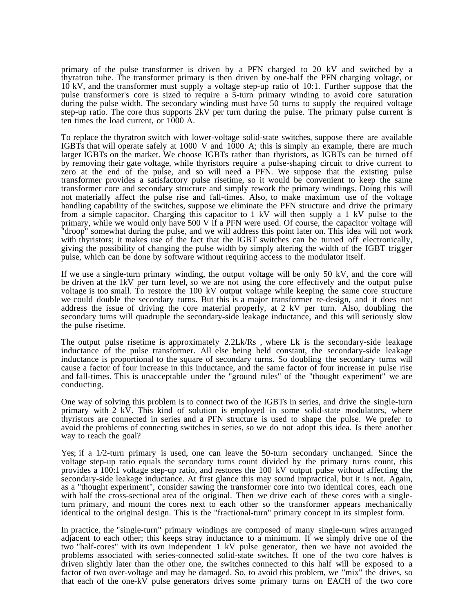primary of the pulse transformer is driven by a PFN charged to 20 kV and switched by a thyratron tube. The transformer primary is then driven by one-half the PFN charging voltage, or 10 kV, and the transformer must supply a voltage step-up ratio of 10:1. Further suppose that the pulse transformer's core is sized to require a 5-turn primary winding to avoid core saturation during the pulse width. The secondary winding must have 50 turns to supply the required voltage step-up ratio. The core thus supports 2kV per turn during the pulse. The primary pulse current is ten times the load current, or 1000 A.

To replace the thyratron switch with lower-voltage solid-state switches, suppose there are available IGBTs that will operate safely at 1000 V and  $1000$  A; this is simply an example, there are much larger IGBTs on the market. We choose IGBTs rather than thyristors, as IGBTs can be turned off by removing their gate voltage, while thyristors require a pulse-shaping circuit to drive current to zero at the end of the pulse, and so will need a PFN. We suppose that the existing pulse transformer provides a satisfactory pulse risetime, so it would be convenient to keep the same transformer core and secondary structure and simply rework the primary windings. Doing this will not materially affect the pulse rise and fall-times. Also, to make maximum use of the voltage handling capability of the switches, suppose we eliminate the PFN structure and drive the primary from a simple capacitor. Charging this capacitor to 1 kV will then supply a 1 kV pulse to the primary, while we would only have 500 V if a PFN were used. Of course, the capacitor voltage will "droop" somewhat during the pulse, and we will address this point later on. This idea will not work with thyristors; it makes use of the fact that the IGBT switches can be turned off electronically, giving the possibility of changing the pulse width by simply altering the width of the IGBT trigger pulse, which can be done by software without requiring access to the modulator itself.

If we use a single-turn primary winding, the output voltage will be only 50 kV, and the core will be driven at the 1kV per turn level, so we are not using the core effectively and the output pulse voltage is too small. To restore the 100 kV output voltage while keeping the same core structure we could double the secondary turns. But this is a major transformer re-design, and it does not address the issue of driving the core material properly, at 2 kV per turn. Also, doubling the secondary turns will quadruple the secondary-side leakage inductance, and this will seriously slow the pulse risetime.

The output pulse risetime is approximately 2.2Lk/Rs , where Lk is the secondary-side leakage inductance of the pulse transformer. All else being held constant, the secondary-side leakage inductance is proportional to the square of secondary turns. So doubling the secondary turns will cause a factor of four increase in this inductance, and the same factor of four increase in pulse rise and fall-times. This is unacceptable under the "ground rules" of the "thought experiment" we are conducting.

One way of solving this problem is to connect two of the IGBTs in series, and drive the single-turn primary with 2 kV. This kind of solution is employed in some solid-state modulators, where thyristors are connected in series and a PFN structure is used to shape the pulse. We prefer to avoid the problems of connecting switches in series, so we do not adopt this idea. Is there another way to reach the goal?

Yes; if a 1/2-turn primary is used, one can leave the 50-turn secondary unchanged. Since the voltage step-up ratio equals the secondary turns count divided by the primary turns count, this provides a 100:1 voltage step-up ratio, and restores the 100 kV output pulse without affecting the secondary-side leakage inductance. At first glance this may sound impractical, but it is not. Again, as a "thought experiment", consider sawing the transformer core into two identical cores, each one with half the cross-sectional area of the original. Then we drive each of these cores with a singleturn primary, and mount the cores next to each other so the transformer appears mechanically identical to the original design. This is the "fractional-turn" primary concept in its simplest form.

In practice, the "single-turn" primary windings are composed of many single-turn wires arranged adjacent to each other; this keeps stray inductance to a minimum. If we simply drive one of the two "half-cores" with its own independent 1 kV pulse generator, then we have not avoided the problems associated with series-connected solid-state switches. If one of the two core halves is driven slightly later than the other one, the switches connected to this half will be exposed to a factor of two over-voltage and may be damaged. So, to avoid this problem, we "mix" the drives, so that each of the one-kV pulse generators drives some primary turns on EACH of the two core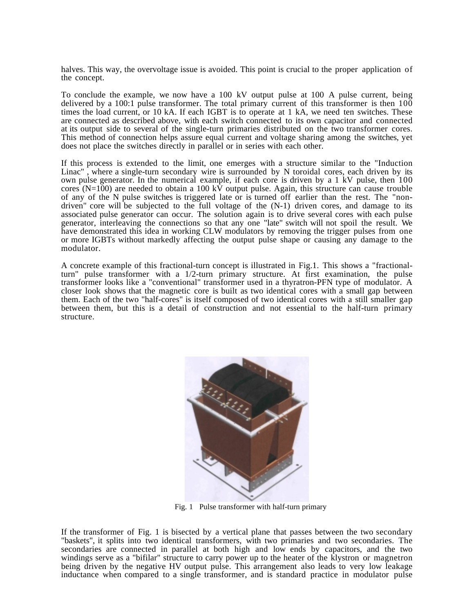halves. This way, the overvoltage issue is avoided. This point is crucial to the proper application of the concept.

To conclude the example, we now have a 100 kV output pulse at 100 A pulse current, being delivered by a 100:1 pulse transformer. The total primary current of this transformer is then 100 times the load current, or 10 kA. If each IGBT is to operate at 1 kA, we need ten switches. These are connected as described above, with each switch connected to its own capacitor and connected at its output side to several of the single-turn primaries distributed on the two transformer cores. This method of connection helps assure equal current and voltage sharing among the switches, yet does not place the switches directly in parallel or in series with each other.

If this process is extended to the limit, one emerges with a structure similar to the "Induction Linac" , where a single-turn secondary wire is surrounded by N toroidal cores, each driven by its own pulse generator. In the numerical example, if each core is driven by a 1 kV pulse, then 100 cores (N=100) are needed to obtain a 100 kV output pulse. Again, this structure can cause trouble of any of the N pulse switches is triggered late or is turned off earlier than the rest. The "nondriven" core will be subjected to the full voltage of the (N-1) driven cores, and damage to its associated pulse generator can occur. The solution again is to drive several cores with each pulse generator, interleaving the connections so that any one "late" switch will not spoil the result. We have demonstrated this idea in working CLW modulators by removing the trigger pulses from one or more IGBTs without markedly affecting the output pulse shape or causing any damage to the modulator.

A concrete example of this fractional-turn concept is illustrated in Fig.1. This shows a "fractionalturn" pulse transformer with a 1/2-turn primary structure. At first examination, the pulse transformer looks like a "conventional" transformer used in a thyratron-PFN type of modulator. A closer look shows that the magnetic core is built as two identical cores with a small gap between them. Each of the two "half-cores" is itself composed of two identical cores with a still smaller gap between them, but this is a detail of construction and not essential to the half-turn primary structure.



Fig. 1 Pulse transformer with half-turn primary

If the transformer of Fig. 1 is bisected by a vertical plane that passes between the two secondary "baskets", it splits into two identical transformers, with two primaries and two secondaries. The secondaries are connected in parallel at both high and low ends by capacitors, and the two windings serve as a "bifilar" structure to carry power up to the heater of the klystron or magnetron being driven by the negative HV output pulse. This arrangement also leads to very low leakage inductance when compared to a single transformer, and is standard practice in modulator pulse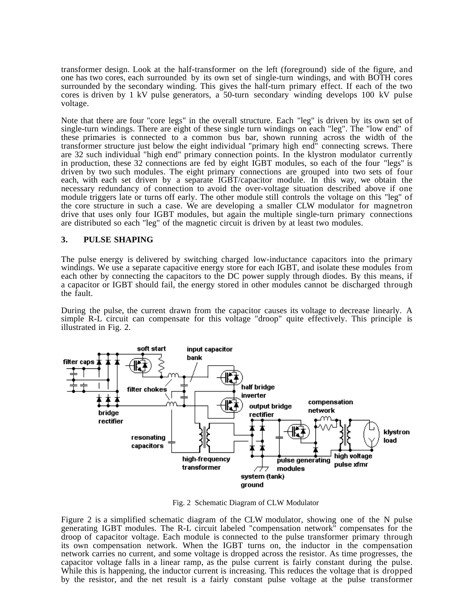transformer design. Look at the half-transformer on the left (foreground) side of the figure, and one has two cores, each surrounded by its own set of single-turn windings, and with BOTH cores surrounded by the secondary winding. This gives the half-turn primary effect. If each of the two cores is driven by 1 kV pulse generators, a 50-turn secondary winding develops 100 kV pulse voltage.

Note that there are four "core legs" in the overall structure. Each "leg" is driven by its own set of single-turn windings. There are eight of these single turn windings on each "leg". The "low end" of these primaries is connected to a common bus bar, shown running across the width of the transformer structure just below the eight individual "primary high end" connecting screws. There are 32 such individual "high end" primary connection points. In the klystron modulator currently in production, these 32 connections are fed by eight IGBT modules, so each of the four "legs" is driven by two such modules. The eight primary connections are grouped into two sets of four each, with each set driven by a separate IGBT/capacitor module. In this way, we obtain the necessary redundancy of connection to avoid the over-voltage situation described above if one module triggers late or turns off early. The other module still controls the voltage on this "leg" of the core structure in such a case. We are developing a smaller CLW modulator for magnetron drive that uses only four IGBT modules, but again the multiple single-turn primary connections are distributed so each "leg" of the magnetic circuit is driven by at least two modules.

# **3. PULSE SHAPING**

The pulse energy is delivered by switching charged low-inductance capacitors into the primary windings. We use a separate capacitive energy store for each IGBT, and isolate these modules from each other by connecting the capacitors to the DC power supply through diodes. By this means, if a capacitor or IGBT should fail, the energy stored in other modules cannot be discharged through the fault.

During the pulse, the current drawn from the capacitor causes its voltage to decrease linearly. A simple R-L circuit can compensate for this voltage "droop" quite effectively. This principle is illustrated in Fig. 2.



Fig. 2 Schematic Diagram of CLW Modulator

Figure 2 is a simplified schematic diagram of the CLW modulator, showing one of the N pulse generating IGBT modules. The R-L circuit labeled "compensation network" compensates for the droop of capacitor voltage. Each module is connected to the pulse transformer primary through its own compensation network. When the IGBT turns on, the inductor in the compensation network carries no current, and some voltage is dropped across the resistor. As time progresses, the capacitor voltage falls in a linear ramp, as the pulse current is fairly constant during the pulse. While this is happening, the inductor current is increasing. This reduces the voltage that is dropped by the resistor, and the net result is a fairly constant pulse voltage at the pulse transformer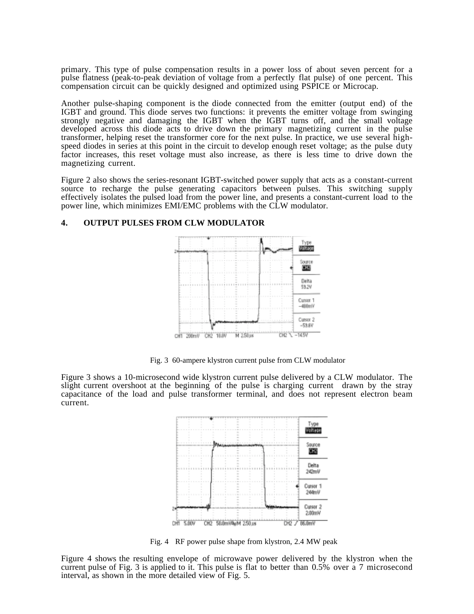primary. This type of pulse compensation results in a power loss of about seven percent for a pulse flatness (peak-to-peak deviation of voltage from a perfectly flat pulse) of one percent. This compensation circuit can be quickly designed and optimized using PSPICE or Microcap.

Another pulse-shaping component is the diode connected from the emitter (output end) of the IGBT and ground. This diode serves two functions: it prevents the emitter voltage from swinging strongly negative and damaging the IGBT when the IGBT turns off, and the small voltage developed across this diode acts to drive down the primary magnetizing current in the pulse transformer, helping reset the transformer core for the next pulse. In practice, we use several highspeed diodes in series at this point in the circuit to develop enough reset voltage; as the pulse duty factor increases, this reset voltage must also increase, as there is less time to drive down the magnetizing current.

Figure 2 also shows the series-resonant IGBT-switched power supply that acts as a constant-current source to recharge the pulse generating capacitors between pulses. This switching supply effectively isolates the pulsed load from the power line, and presents a constant-current load to the power line, which minimizes EMI/EMC problems with the CLW modulator.

#### Type<br>Militage Source ШB Delta **59.2V** Cussor 1  $-400mV$ Cursor 2  $-53.6V$ M 250us CH1 200mV CH2 10.0V CH<sub>2</sub>  $-145V$

#### **4. OUTPUT PULSES FROM CLW MODULATOR**

Fig. 3 60-ampere klystron current pulse from CLW modulator

Figure 3 shows a 10-microsecond wide klystron current pulse delivered by a CLW modulator. The slight current overshoot at the beginning of the pulse is charging current drawn by the stray capacitance of the load and pulse transformer terminal, and does not represent electron beam current.



Fig. 4 RF power pulse shape from klystron, 2.4 MW peak

Figure 4 shows the resulting envelope of microwave power delivered by the klystron when the current pulse of Fig. 3 is applied to it. This pulse is flat to better than 0.5% over a 7 microsecond interval, as shown in the more detailed view of Fig. 5.